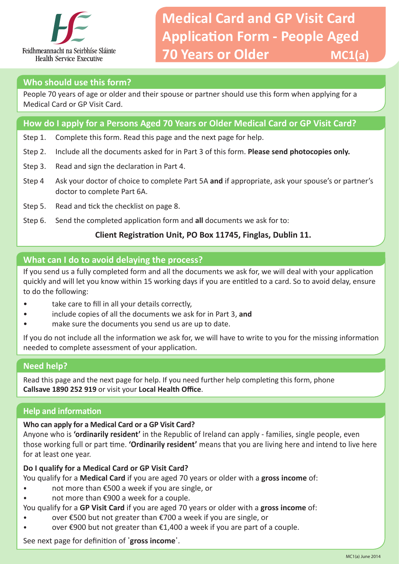

### **Who should use this form?**

People 70 years of age or older and their spouse or partner should use this form when applying for a Medical Card or GP Visit Card.

### **How do I apply for a Persons Aged 70 Years or Older Medical Card or GP Visit Card?**

- Step 1. Complete this form. Read this page and the next page for help.
- Step 2. Include all the documents asked for in Part 3 of this form. **Please send photocopies only.**
- Step 3. Read and sign the declaration in Part 4.
- Step 4 Ask your doctor of choice to complete Part 5A **and** if appropriate, ask your spouse's or partner's doctor to complete Part 6A.
- Step 5. Read and tick the checklist on page 8.
- Step 6. Send the completed application form and **all** documents we ask for to:

### **Client Registration Unit, PO Box 11745, Finglas, Dublin 11.**

### **What can I do to avoid delaying the process?**

If you send us a fully completed form and all the documents we ask for, we will deal with your application quickly and will let you know within 15 working days if you are entitled to a card. So to avoid delay, ensure to do the following:

- take care to fill in all your details correctly,
- include copies of all the documents we ask for in Part 3, **and**
- make sure the documents you send us are up to date.

If you do not include all the information we ask for, we will have to write to you for the missing information needed to complete assessment of your application.

### **Need help?**

Read this page and the next page for help. If you need further help completing this form, phone **Callsave 1890 252 919** or visit your **Local Health Office**.

### **Help and information**

### **Who can apply for a Medical Card or a GP Visit Card?**

Anyone who is **'ordinarily resident'** in the Republic of Ireland can apply - families, single people, even those working full or part time. **'Ordinarily resident'** means that you are living here and intend to live here for at least one year.

### **Do I qualify for a Medical Card or GP Visit Card?**

You qualify for a **Medical Card** if you are aged 70 years or older with a **gross income** of:

- not more than €500 a week if you are single, or
- not more than  $\epsilon$ 900 a week for a couple.

You qualify for a **GP Visit Card** if you are aged 70 years or older with a **gross income** of:

- over €500 but not greater than €700 a week if you are single, or
- over €900 but not greater than €1,400 a week if you are part of a couple.

See next page for definition of **ˈgross incomeˈ**.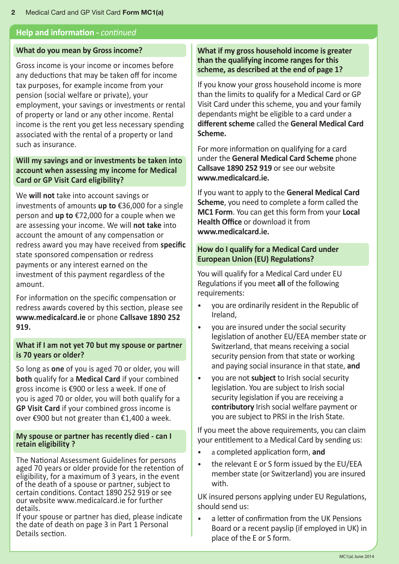### **Help and information -** *continued*

#### **What do you mean by Gross income?**

Gross income is your income or incomes before any deductions that may be taken off for income tax purposes, for example income from your pension (social welfare or private), your employment, your savings or investments or rental of property or land or any other income. Rental income is the rent you get less necessary spending associated with the rental of a property or land such as insurance.

### **Will my savings and or investments be taken into account when assessing my income for Medical Card or GP Visit Card eligibility?**

We **will not** take into account savings or investments of amounts **up to** €36,000 for a single person and **up to** €72,000 for a couple when we are assessing your income. We will **not take** into account the amount of any compensation or redress award you may have received from **specific**  state sponsored compensation or redress payments or any interest earned on the investment of this payment regardless of the amount.

For information on the specific compensation or redress awards covered by this section, please see **www.medicalcard.ie** or phone **Callsave 1890 252 919.**

#### **What if I am not yet 70 but my spouse or partner is 70 years or older?**

So long as **one** of you is aged 70 or older, you will **both** qualify for a **Medical Card** if your combined gross income is €900 or less a week. If one of you is aged 70 or older, you will both qualify for a **GP Visit Card** if your combined gross income is over €900 but not greater than €1,400 a week.

#### **My spouse or partner has recently died - can I retain eligibility ?**

The National Assessment Guidelines for persons aged 70 years or older provide for the retention of eligibility, for a maximum of 3 years, in the event of the death of a spouse or partner, subject to certain conditions. Contact 1890 252 919 or see our website www.medicalcard.ie for further details.

If your spouse or partner has died, please indicate the date of death on page 3 in Part 1 Personal Details section.

### **What if my gross household income is greater than the qualifying income ranges for this scheme, as described at the end of page 1?**

If you know your gross household income is more than the limits to qualify for a Medical Card or GP Visit Card under this scheme, you and your family dependants might be eligible to a card under a **different scheme** called the **General Medical Card Scheme.**

For more information on qualifying for a card under the **General Medical Card Scheme** phone **Callsave 1890 252 919** or see our website **www.medicalcard.ie.**

If you want to apply to the **General Medical Card Scheme**, you need to complete a form called the **MC1 Form**. You can get this form from your **Local Health Office** or download it from **www.medicalcard.ie.**

#### **How do I qualify for a Medical Card under European Union (EU) Regulations?**

You will qualify for a Medical Card under EU Regulations if you meet **all** of the following requirements:

- you are ordinarily resident in the Republic of Ireland,
- you are insured under the social security legislation of another EU/EEA member state or Switzerland, that means receiving a social security pension from that state or working and paying social insurance in that state, **and**
- you are not **subject** to Irish social security legislation. You are subject to Irish social security legislation if you are receiving a **contributory** Irish social welfare payment or you are subject to PRSI in the Irish State.

If you meet the above requirements, you can claim your entitlement to a Medical Card by sending us:

- a completed application form, **and**
- the relevant E or S form issued by the EU/EEA member state (or Switzerland) you are insured with.

UK insured persons applying under EU Regulations, should send us:

• a letter of confirmation from the UK Pensions Board or a recent payslip (if employed in UK) in place of the E or S form.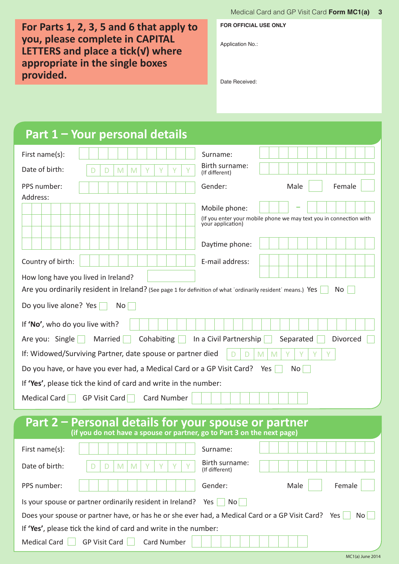**For Parts 1, 2, 3, 5 and 6 that apply to you, please complete in CAPITAL LETTERS and place a tick(v) where appropriate in the single boxes provided.**

| <b>FOR OFFICIAL USE ONLY</b> |  |  |
|------------------------------|--|--|
|------------------------------|--|--|

Application No.:

Date Received:

| Part 1 – Your personal details                                                                                                                                                                   |                                                                                                          |
|--------------------------------------------------------------------------------------------------------------------------------------------------------------------------------------------------|----------------------------------------------------------------------------------------------------------|
| First name(s):<br>Date of birth:<br>v<br>V<br>M<br>M<br>D                                                                                                                                        | Surname:<br>Birth surname:<br>(If different)                                                             |
| PPS number:<br>Address:                                                                                                                                                                          | Gender:<br>Female<br>Male                                                                                |
|                                                                                                                                                                                                  | Mobile phone:<br>(If you enter your mobile phone we may text you in connection with<br>your application) |
| Country of birth:                                                                                                                                                                                | Daytime phone:<br>E-mail address:                                                                        |
| How long have you lived in Ireland?<br>Are you ordinarily resident in Ireland? (See page 1 for definition of what 'ordinarily resident' means.) Yes<br>Do you live alone? Yes<br>No <sub>1</sub> | No                                                                                                       |
| If 'No', who do you live with?                                                                                                                                                                   |                                                                                                          |
| Cohabiting<br>Are you: Single<br>Married<br>If: Widowed/Surviving Partner, date spouse or partner died<br>Do you have, or have you ever had, a Medical Card or a GP Visit Card?                  | In a Civil Partnership<br>Separated<br>Divorced<br>M<br>M<br>Yes<br>No                                   |
| If 'Yes', please tick the kind of card and write in the number:<br>Medical Card $\Box$<br>GP Visit Card<br><b>Card Number</b>                                                                    |                                                                                                          |
| Part 2 - Personal details for your spouse or partner<br>(if you do not have a spouse or partner, go to Part 3 on the next page)                                                                  |                                                                                                          |
| First name(s):<br>Date of birth:<br>M<br>Y<br>Y<br>Y<br>D<br>M<br>D                                                                                                                              | Surname:<br>Birth surname:<br>Y<br>(If different)                                                        |
| PPS number:                                                                                                                                                                                      | Gender:<br>Male<br>Female                                                                                |
| Is your spouse or partner ordinarily resident in Ireland?                                                                                                                                        | $Yes \mid No \mid$                                                                                       |

| Does your spouse or partner have, or has he or she ever had, a Medical Card or a GP Visit Card? Yes     No |  |  |  |  |  |  |  |  |  |  |  |  |
|------------------------------------------------------------------------------------------------------------|--|--|--|--|--|--|--|--|--|--|--|--|
| If 'Yes', please tick the kind of card and write in the number:                                            |  |  |  |  |  |  |  |  |  |  |  |  |
| Medical Card GP Visit Card Card Number                                                                     |  |  |  |  |  |  |  |  |  |  |  |  |

e<br>Barat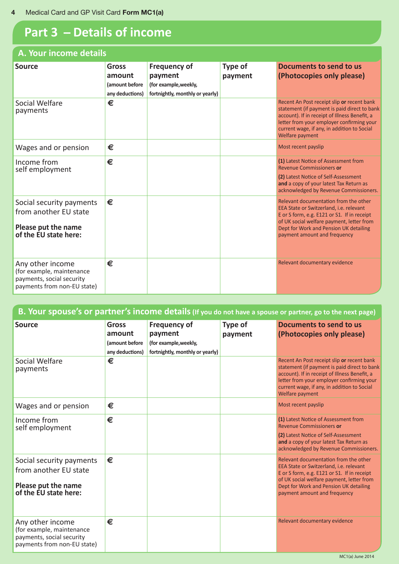## **Part 3 ̶ Details of income**

#### **Source Gross amount (amount before any deductions) Frequency of payment (for example,weekly, fortnightly, monthly or yearly) Type of payment Documents to send to us (Photocopies only please)** Recent An Post receipt slip **or** recent bank statement (if payment is paid direct to bank account). If in receipt of Illness Benefit, a letter from your employer confirming your current wage, if any, in addition to Social Welfare payment Social Welfare **E** payments **Wages and or pension**   $\epsilon$  <del></del> **E** Most recent payslip Most recent payslip **(1)** Latest Notice of Assessment from Revenue Commissioners **or (2)** Latest Notice of Self-Assessment **and** a copy of your latest Tax Return as acknowledged by Revenue Commissioners. Income from **E** self employment Relevant documentation from the other EEA State or Switzerland, i.e. relevant E or S form, e.g. E121 or S1. If in receipt of UK social welfare payment, letter from Dept for Work and Pension UK detailing payment amount and frequency Social security payments **E** from another EU state **Please put the name of the EU state here:** Any other income **E** <del></del>■ **E** Relevant documentary evidence (for example, maintenance payments, social security payments from non-EU state) **A. Your income details**

|                                                                                                           |                                                             |                                                                                            |                    | B. Your spouse's or partner's income details (If you do not have a spouse or partner, go to the next page)                                                                                                                                                 |
|-----------------------------------------------------------------------------------------------------------|-------------------------------------------------------------|--------------------------------------------------------------------------------------------|--------------------|------------------------------------------------------------------------------------------------------------------------------------------------------------------------------------------------------------------------------------------------------------|
| <b>Source</b>                                                                                             | <b>Gross</b><br>amount<br>(amount before<br>any deductions) | <b>Frequency of</b><br>payment<br>(for example, weekly,<br>fortnightly, monthly or yearly) | Type of<br>payment | Documents to send to us<br>(Photocopies only please)                                                                                                                                                                                                       |
| Social Welfare<br>payments                                                                                | €                                                           |                                                                                            |                    | Recent An Post receipt slip or recent bank<br>statement (if payment is paid direct to bank<br>account). If in receipt of Illness Benefit, a<br>letter from your employer confirming your<br>current wage, if any, in addition to Social<br>Welfare payment |
| Wages and or pension                                                                                      | €                                                           |                                                                                            |                    | Most recent payslip                                                                                                                                                                                                                                        |
| Income from<br>self employment                                                                            | €                                                           |                                                                                            |                    | (1) Latest Notice of Assessment from<br>Revenue Commissioners or<br>(2) Latest Notice of Self-Assessment<br>and a copy of your latest Tax Return as<br>acknowledged by Revenue Commissioners.                                                              |
| Social security payments<br>from another EU state<br>Please put the name<br>of the EU state here:         | €                                                           |                                                                                            |                    | Relevant documentation from the other<br>EEA State or Switzerland, i.e. relevant<br>E or S form, e.g. E121 or S1. If in receipt<br>of UK social welfare payment, letter from<br>Dept for Work and Pension UK detailing<br>payment amount and frequency     |
| Any other income<br>(for example, maintenance<br>payments, social security<br>payments from non-EU state) | €                                                           |                                                                                            |                    | Relevant documentary evidence<br>MC1(a) June 2014                                                                                                                                                                                                          |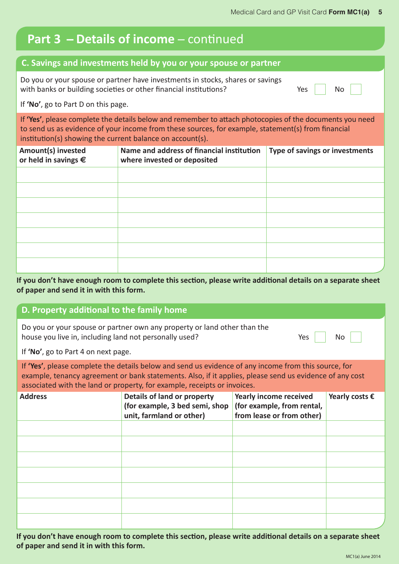### **Part 3 – Details of income** – continued

### **C. Savings and investments held by you or your spouse or partner**

Do you or your spouse or partner have investments in stocks, shares or savings with banks or building societies or other financial institutions?  $Yes \mid S$  No

If **'No'**, go to Part D on this page.

If **'Yes'**, please complete the details below and remember to attach photocopies of the documents you need to send us as evidence of your income from these sources, for example, statement(s) from financial institution(s) showing the current balance on account(s).

| Amount(s) invested<br>or held in savings $\epsilon$ | Name and address of financial institution<br>where invested or deposited | Type of savings or investments |
|-----------------------------------------------------|--------------------------------------------------------------------------|--------------------------------|
|                                                     |                                                                          |                                |
|                                                     |                                                                          |                                |
|                                                     |                                                                          |                                |
|                                                     |                                                                          |                                |
|                                                     |                                                                          |                                |
|                                                     |                                                                          |                                |
|                                                     |                                                                          |                                |

**If you don't have enough room to complete this section, please write additional details on a separate sheet of paper and send it in with this form.**

### **D. Property additional to the family home**

| Do you or your spouse or partner own any property or land other than the |     |    |
|--------------------------------------------------------------------------|-----|----|
| house you live in, including land not personally used?                   | Yes | No |

If **'No'**, go to Part 4 on next page.

If **'Yes'**, please complete the details below and send us evidence of any income from this source, for example, tenancy agreement or bank statements. Also, if it applies, please send us evidence of any cost associated with the land or property, for example, receipts or invoices.

| <b>Address</b> | <b>Details of land or property</b><br>(for example, 3 bed semi, shop<br>unit, farmland or other) | <b>Yearly income received</b><br>(for example, from rental,<br>from lease or from other) | Yearly costs $\epsilon$ |
|----------------|--------------------------------------------------------------------------------------------------|------------------------------------------------------------------------------------------|-------------------------|
|                |                                                                                                  |                                                                                          |                         |
|                |                                                                                                  |                                                                                          |                         |
|                |                                                                                                  |                                                                                          |                         |
|                |                                                                                                  |                                                                                          |                         |
|                |                                                                                                  |                                                                                          |                         |
|                |                                                                                                  |                                                                                          |                         |
|                |                                                                                                  |                                                                                          |                         |

**If you don't have enough room to complete this section, please write additional details on a separate sheet of paper and send it in with this form.**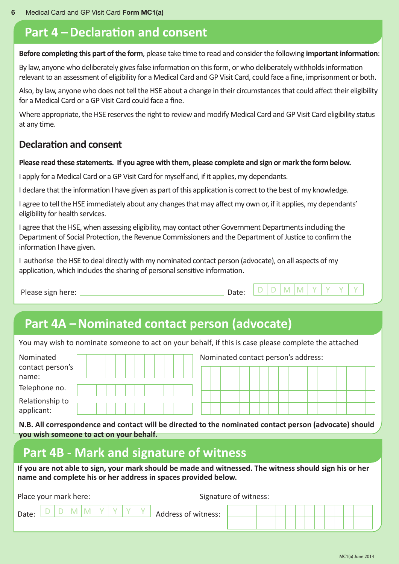## **Part 4 – Declaration and consent**

**Before completing this part of the form**, please take time to read and consider the following **important information**:

By law, anyone who deliberately gives false information on this form, or who deliberately withholds information relevant to an assessment of eligibility for a Medical Card and GP Visit Card, could face a fine, imprisonment or both.

Also, by law, anyone who does not tell the HSE about a change in their circumstances that could affect their eligibility for a Medical Card or a GP Visit Card could face a fine.

Where appropriate, the HSE reserves the right to review and modify Medical Card and GP Visit Card eligibility status at any time.

### **Declaration and consent**

#### **Please read these statements. If you agree with them, please complete and sign or mark the form below.**

I apply for a Medical Card or a GP Visit Card for myself and, if it applies, my dependants.

I declare that the information I have given as part of this application is correct to the best of my knowledge.

I agree to tell the HSE immediately about any changes that may affect my own or, if it applies, my dependants' eligibility for health services.

I agree that the HSE, when assessing eligibility, may contact other Government Departments including the Department of Social Protection, the Revenue Commissioners and the Department of Justice to confirm the information I have given.

I authorise the HSE to deal directly with my nominated contact person (advocate), on all aspects of my application, which includes the sharing of personal sensitive information.

| Date: |
|-------|
|       |

### **Part 4A – Nominated contact person (advocate)**

You may wish to nominate someone to act on your behalf, if this is case please complete the attached

| Nominated        |  |  |  |  |  |  |  | Nominated contact person's address: |  |  |  |  |  |  |  |
|------------------|--|--|--|--|--|--|--|-------------------------------------|--|--|--|--|--|--|--|
| contact person's |  |  |  |  |  |  |  |                                     |  |  |  |  |  |  |  |
| name:            |  |  |  |  |  |  |  |                                     |  |  |  |  |  |  |  |
| Telephone no.    |  |  |  |  |  |  |  |                                     |  |  |  |  |  |  |  |
| Relationship to  |  |  |  |  |  |  |  |                                     |  |  |  |  |  |  |  |
| applicant:       |  |  |  |  |  |  |  |                                     |  |  |  |  |  |  |  |

**N.B. All correspondence and contact will be directed to the nominated contact person (advocate) should you wish someone to act on your behalf.**

### **Part 4B - Mark and signature of witness**

**If you are not able to sign, your mark should be made and witnessed. The witness should sign his or her name and complete his or her address in spaces provided below.**

| Place your mark here: |  |  |  |  |  |  |  | Signature of witness: |                     |  |  |  |  |  |  |  |  |  |  |  |  |  |  |
|-----------------------|--|--|--|--|--|--|--|-----------------------|---------------------|--|--|--|--|--|--|--|--|--|--|--|--|--|--|
| Date:                 |  |  |  |  |  |  |  |                       | Address of witness: |  |  |  |  |  |  |  |  |  |  |  |  |  |  |

D | D | M | M | Y | Y | Y | Y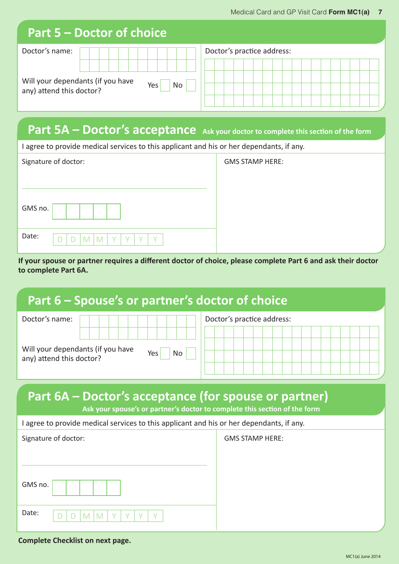## **Part 5 – Doctor of choice**

| Doctor's name:                                                |                  | Doctor's practice address: |  |  |  |  |  |  |  |  |
|---------------------------------------------------------------|------------------|----------------------------|--|--|--|--|--|--|--|--|
|                                                               |                  |                            |  |  |  |  |  |  |  |  |
| Will your dependants (if you have<br>any) attend this doctor? | Yes<br><b>No</b> |                            |  |  |  |  |  |  |  |  |
|                                                               |                  |                            |  |  |  |  |  |  |  |  |

### **Part 5A – Doctor's acceptance** Ask your doctor to complete this section of the form

I agree to provide medical services to this applicant and his or her dependants, if any.

|         | Signature of doctor:                                                                                                          |  |
|---------|-------------------------------------------------------------------------------------------------------------------------------|--|
| GMS no. |                                                                                                                               |  |
| Date:   | $\begin{array}{c c c c c c c} \hline \text{M} & \text{M} & \text{Y} & \text{Y} & \text{Y} \end{array}$<br>$\overline{D}$<br>D |  |

**GMS STAMP HERE:** 

**If your spouse or partner requires a different doctor of choice, please complete Part 6 and ask their doctor to complete Part 6A.**

### **Part 6 – Spouse's or partner's doctor of choice**

| Doctor's name:                                                                     | Doctor's practice address: |  |  |  |
|------------------------------------------------------------------------------------|----------------------------|--|--|--|
|                                                                                    |                            |  |  |  |
| Will your dependants (if you have<br><b>No</b><br>Yes,<br>any) attend this doctor? |                            |  |  |  |

# **Part 6A – Doctor's acceptance (for spouse or partner)**

**Ask your spouse's or partner's doctor to complete this section of the form**

I agree to provide medical services to this applicant and his or her dependants, if any.

|         | Signature of doctor:             |
|---------|----------------------------------|
| GMS no. |                                  |
| Date:   | $M$ $M$<br>$Y$ $Y$ $Y$<br>D<br>D |

**GMS STAMP HERE:** 

**Complete Checklist on next page.**